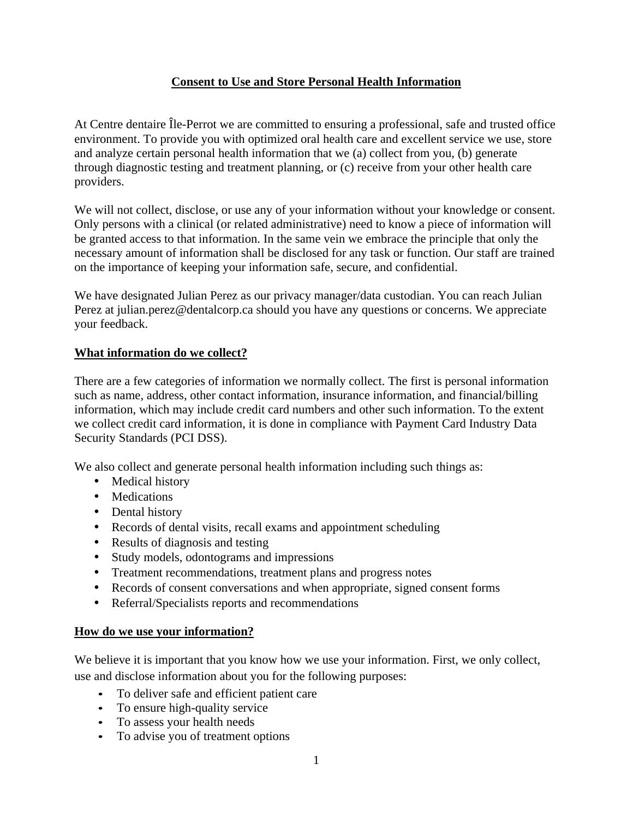# **Consent to Use and Store Personal Health Information**

At Centre dentaire Île-Perrot we are committed to ensuring a professional, safe and trusted office environment. To provide you with optimized oral health care and excellent service we use, store and analyze certain personal health information that we (a) collect from you, (b) generate through diagnostic testing and treatment planning, or (c) receive from your other health care providers.

We will not collect, disclose, or use any of your information without your knowledge or consent. Only persons with a clinical (or related administrative) need to know a piece of information will be granted access to that information. In the same vein we embrace the principle that only the necessary amount of information shall be disclosed for any task or function. Our staff are trained on the importance of keeping your information safe, secure, and confidential.

We have designated Julian Perez as our privacy manager/data custodian. You can reach Julian Perez at julian.perez@dentalcorp.ca should you have any questions or concerns. We appreciate your feedback.

## **What information do we collect?**

There are a few categories of information we normally collect. The first is personal information such as name, address, other contact information, insurance information, and financial/billing information, which may include credit card numbers and other such information. To the extent we collect credit card information, it is done in compliance with Payment Card Industry Data Security Standards (PCI DSS).

We also collect and generate personal health information including such things as:

- Medical history
- Medications
- Dental history
- Records of dental visits, recall exams and appointment scheduling
- Results of diagnosis and testing
- Study models, odontograms and impressions
- Treatment recommendations, treatment plans and progress notes
- Records of consent conversations and when appropriate, signed consent forms
- Referral/Specialists reports and recommendations

## **How do we use your information?**

We believe it is important that you know how we use your information. First, we only collect, use and disclose information about you for the following purposes:

- To deliver safe and efficient patient care
- To ensure high-quality service
- To assess your health needs
- To advise you of treatment options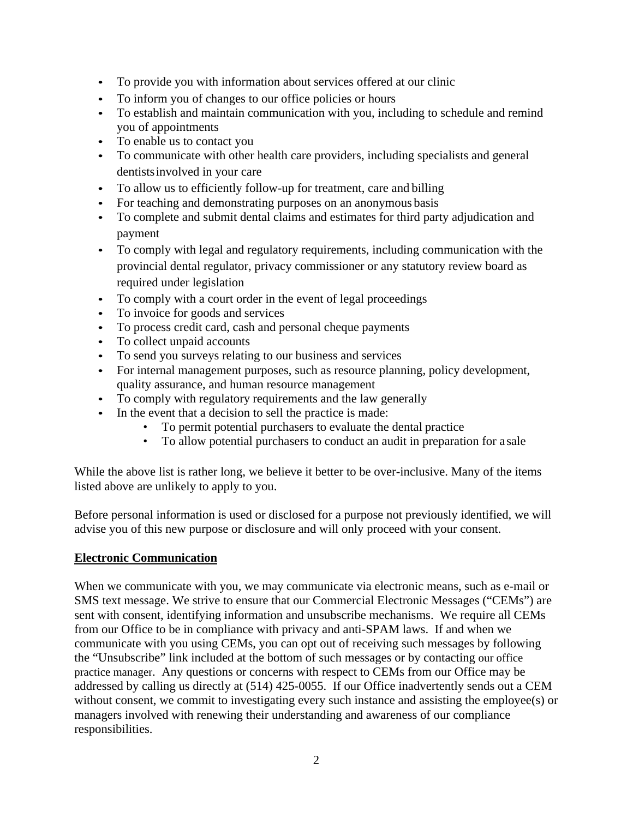- To provide you with information about services offered at our clinic
- To inform you of changes to our office policies or hours
- To establish and maintain communication with you, including to schedule and remind you of appointments
- To enable us to contact you
- To communicate with other health care providers, including specialists and general dentistsinvolved in your care
- To allow us to efficiently follow-up for treatment, care and billing
- For teaching and demonstrating purposes on an anonymous basis
- To complete and submit dental claims and estimates for third party adjudication and payment
- To comply with legal and regulatory requirements, including communication with the provincial dental regulator, privacy commissioner or any statutory review board as required under legislation
- To comply with a court order in the event of legal proceedings
- To invoice for goods and services
- To process credit card, cash and personal cheque payments
- To collect unpaid accounts
- To send you surveys relating to our business and services
- For internal management purposes, such as resource planning, policy development, quality assurance, and human resource management
- To comply with regulatory requirements and the law generally
- In the event that a decision to sell the practice is made:
	- To permit potential purchasers to evaluate the dental practice
	- To allow potential purchasers to conduct an audit in preparation for a sale

While the above list is rather long, we believe it better to be over-inclusive. Many of the items listed above are unlikely to apply to you.

Before personal information is used or disclosed for a purpose not previously identified, we will advise you of this new purpose or disclosure and will only proceed with your consent.

## **Electronic Communication**

When we communicate with you, we may communicate via electronic means, such as e-mail or SMS text message. We strive to ensure that our Commercial Electronic Messages ("CEMs") are sent with consent, identifying information and unsubscribe mechanisms. We require all CEMs from our Office to be in compliance with privacy and anti-SPAM laws. If and when we communicate with you using CEMs, you can opt out of receiving such messages by following the "Unsubscribe" link included at the bottom of such messages or by contacting our office practice manager. Any questions or concerns with respect to CEMs from our Office may be addressed by calling us directly at (514) 425-0055. If our Office inadvertently sends out a CEM without consent, we commit to investigating every such instance and assisting the employee(s) or managers involved with renewing their understanding and awareness of our compliance responsibilities.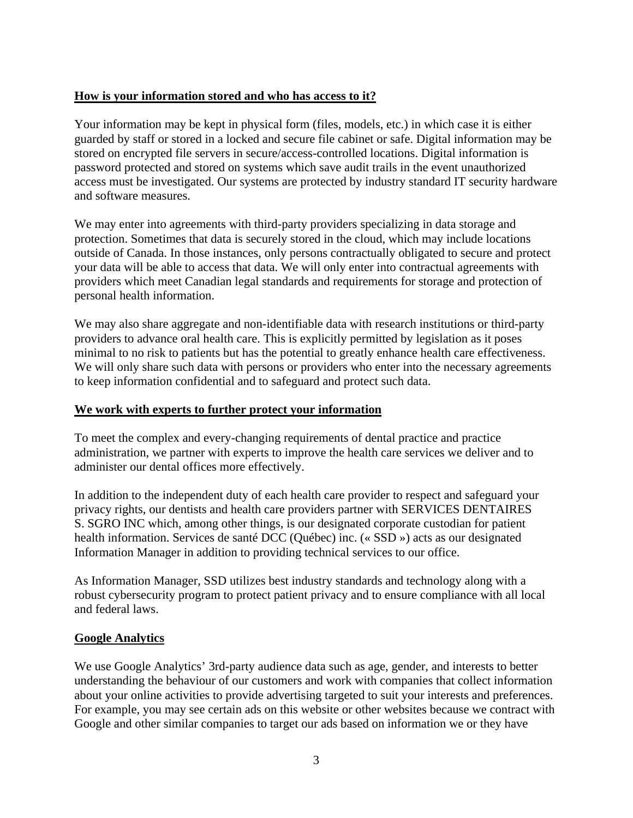## **How is your information stored and who has access to it?**

Your information may be kept in physical form (files, models, etc.) in which case it is either guarded by staff or stored in a locked and secure file cabinet or safe. Digital information may be stored on encrypted file servers in secure/access-controlled locations. Digital information is password protected and stored on systems which save audit trails in the event unauthorized access must be investigated. Our systems are protected by industry standard IT security hardware and software measures.

We may enter into agreements with third-party providers specializing in data storage and protection. Sometimes that data is securely stored in the cloud, which may include locations outside of Canada. In those instances, only persons contractually obligated to secure and protect your data will be able to access that data. We will only enter into contractual agreements with providers which meet Canadian legal standards and requirements for storage and protection of personal health information.

We may also share aggregate and non-identifiable data with research institutions or third-party providers to advance oral health care. This is explicitly permitted by legislation as it poses minimal to no risk to patients but has the potential to greatly enhance health care effectiveness. We will only share such data with persons or providers who enter into the necessary agreements to keep information confidential and to safeguard and protect such data.

## **We work with experts to further protect your information**

To meet the complex and every-changing requirements of dental practice and practice administration, we partner with experts to improve the health care services we deliver and to administer our dental offices more effectively.

In addition to the independent duty of each health care provider to respect and safeguard your privacy rights, our dentists and health care providers partner with SERVICES DENTAIRES S. SGRO INC which, among other things, is our designated corporate custodian for patient health information. Services de santé DCC (Québec) inc. (« SSD ») acts as our designated Information Manager in addition to providing technical services to our office.

As Information Manager, SSD utilizes best industry standards and technology along with a robust cybersecurity program to protect patient privacy and to ensure compliance with all local and federal laws.

## **Google Analytics**

We use Google Analytics' 3rd-party audience data such as age, gender, and interests to better understanding the behaviour of our customers and work with companies that collect information about your online activities to provide advertising targeted to suit your interests and preferences. For example, you may see certain ads on this website or other websites because we contract with Google and other similar companies to target our ads based on information we or they have